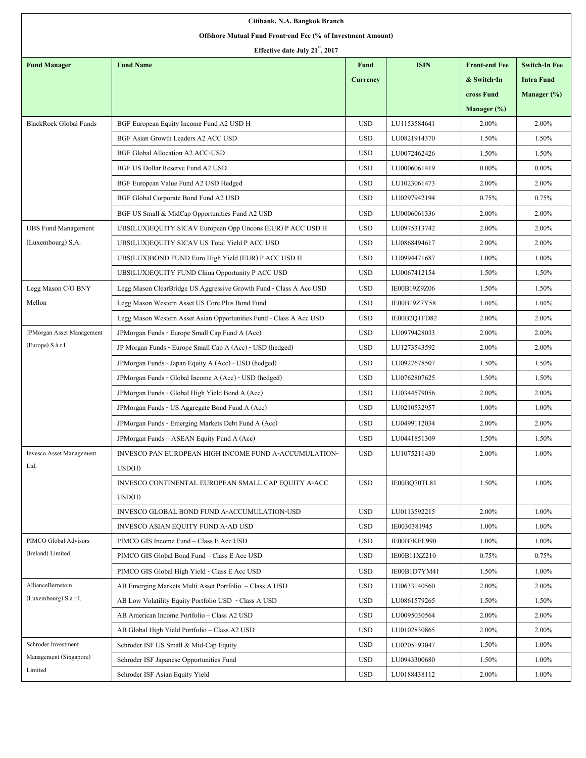| Citibank, N.A. Bangkok Branch                               |                                                                     |                 |              |                      |                      |
|-------------------------------------------------------------|---------------------------------------------------------------------|-----------------|--------------|----------------------|----------------------|
| Offshore Mutual Fund Front-end Fee (% of Investment Amount) |                                                                     |                 |              |                      |                      |
| Effective date July 21", 2017                               |                                                                     |                 |              |                      |                      |
| <b>Fund Manager</b>                                         | <b>Fund Name</b>                                                    | <b>Fund</b>     | <b>ISIN</b>  | <b>Front-end Fee</b> | <b>Switch-In Fee</b> |
|                                                             |                                                                     | <b>Currency</b> |              | & Switch-In          | <b>Intra Fund</b>    |
|                                                             |                                                                     |                 |              | cross Fund           | Manager (%)          |
|                                                             |                                                                     |                 |              | Manager $(\%)$       |                      |
| <b>BlackRock Global Funds</b>                               | BGF European Equity Income Fund A2 USD H                            | <b>USD</b>      | LU1153584641 | 2.00%                | 2.00%                |
|                                                             | BGF Asian Growth Leaders A2 ACC USD                                 | <b>USD</b>      | LU0821914370 | 1.50%                | 1.50%                |
|                                                             | <b>BGF Global Allocation A2 ACC-USD</b>                             | <b>USD</b>      | LU0072462426 | 1.50%                | 1.50%                |
|                                                             | BGF US Dollar Reserve Fund A2 USD                                   | <b>USD</b>      | LU0006061419 | $0.00\%$             | $0.00\%$             |
|                                                             | BGF European Value Fund A2 USD Hedged                               | <b>USD</b>      | LU1023061473 | 2.00%                | 2.00%                |
|                                                             | BGF Global Corporate Bond Fund A2 USD                               | <b>USD</b>      | LU0297942194 | 0.75%                | 0.75%                |
|                                                             | BGF US Small & MidCap Opportunities Fund A2 USD                     | <b>USD</b>      | LU0006061336 | 2.00%                | 2.00%                |
| <b>UBS</b> Fund Management                                  | UBS(LUX)EQUITY SICAV European Opp Uncons (EUR) P ACC USD H          | <b>USD</b>      | LU0975313742 | 2.00%                | 2.00%                |
| (Luxembourg) S.A.                                           | UBS(LUX)EQUITY SICAV US Total Yield P ACC USD                       | <b>USD</b>      | LU0868494617 | 2.00%                | 2.00%                |
|                                                             | UBS(LUX)BOND FUND Euro High Yield (EUR) P ACC USD H                 | <b>USD</b>      | LU0994471687 | 1.00%                | 1.00%                |
|                                                             | UBS(LUX)EQUITY FUND China Opportunity P ACC USD                     | <b>USD</b>      | LU0067412154 | 1.50%                | 1.50%                |
| Legg Mason C/O BNY                                          | Legg Mason ClearBridge US Aggressive Growth Fund - Class A Acc USD  | <b>USD</b>      | IE00B19Z9Z06 | 1.50%                | 1.50%                |
| Mellon                                                      | Legg Mason Western Asset US Core Plus Bond Fund                     | <b>USD</b>      | IE00B19Z7Y58 | 1.00%                | 1.00%                |
|                                                             | Legg Mason Western Asset Asian Opportunities Fund - Class A Acc USD | <b>USD</b>      | IE00B2Q1FD82 | 2.00%                | 2.00%                |
| JPMorgan Asset Management                                   | JPMorgan Funds - Europe Small Cap Fund A (Acc)                      | <b>USD</b>      | LU0979428033 | 2.00%                | 2.00%                |
| (Europe) S.à r.l.                                           | JP Morgan Funds - Europe Small Cap A (Acc) - USD (hedged)           | <b>USD</b>      | LU1273543592 | 2.00%                | 2.00%                |
|                                                             | JPMorgan Funds - Japan Equity A (Acc) - USD (hedged)                | <b>USD</b>      | LU0927678507 | 1.50%                | 1.50%                |
|                                                             | JPMorgan Funds - Global Income A (Acc) - USD (hedged)               | <b>USD</b>      | LU0762807625 | 1.50%                | 1.50%                |
|                                                             | JPMorgan Funds - Global High Yield Bond A (Acc)                     | <b>USD</b>      | LU0344579056 | 2.00%                | 2.00%                |
|                                                             | JPMorgan Funds - US Aggregate Bond Fund A (Acc)                     | <b>USD</b>      | LU0210532957 | 1.00%                | 1.00%                |
|                                                             | JPMorgan Funds - Emerging Markets Debt Fund A (Acc)                 | <b>USD</b>      | LU0499112034 | 2.00%                | 2.00%                |
|                                                             | JPMorgan Funds - ASEAN Equity Fund A (Acc)                          | <b>USD</b>      | LU0441851309 | 1.50%                | 1.50%                |
| <b>Invesco Asset Management</b>                             | INVESCO PAN EUROPEAN HIGH INCOME FUND A-ACCUMULATION-               | <b>USD</b>      | LU1075211430 | 2.00%                | 1.00%                |
| Ltd.                                                        | USD(H)                                                              |                 |              |                      |                      |
|                                                             | INVESCO CONTINENTAL EUROPEAN SMALL CAP EQUITY A-ACC                 | <b>USD</b>      | IE00BQ70TL81 | 1.50%                | 1.00%                |
|                                                             | USD(H)                                                              |                 |              |                      |                      |
|                                                             | INVESCO GLOBAL BOND FUND A-ACCUMULATION-USD                         | <b>USD</b>      | LU0113592215 | 2.00%                | 1.00%                |
|                                                             | INVESCO ASIAN EQUITY FUND A-AD USD                                  | <b>USD</b>      | IE0030381945 | 1.00%                | 1.00%                |
| PIMCO Global Advisors                                       | PIMCO GIS Income Fund - Class E Acc USD                             | <b>USD</b>      | IE00B7KFL990 | 1.00%                | 1.00%                |
| (Ireland) Limited                                           | PIMCO GIS Global Bond Fund - Class E Acc USD                        | <b>USD</b>      | IE00B11XZ210 | 0.75%                | 0.75%                |
|                                                             | PIMCO GIS Global High Yield - Class E Acc USD                       | <b>USD</b>      | IE00B1D7YM41 | 1.50%                | 1.00%                |
| AllianceBernstein                                           | AB Emerging Markets Multi Asset Portfolio - Class A USD             | <b>USD</b>      | LU0633140560 | 2.00%                | 2.00%                |
| (Luxembourg) S.à r.l.                                       | AB Low Volatility Equity Portfolio USD - Class A USD                | <b>USD</b>      | LU0861579265 | 1.50%                | 1.50%                |
|                                                             | AB American Income Portfolio - Class A2 USD                         | <b>USD</b>      | LU0095030564 | 2.00%                | 2.00%                |
|                                                             | AB Global High Yield Portfolio - Class A2 USD                       | <b>USD</b>      | LU0102830865 | 2.00%                | 2.00%                |
| Schroder Investment                                         | Schroder ISF US Small & Mid-Cap Equity                              | <b>USD</b>      | LU0205193047 | 1.50%                | 1.00%                |
| Management (Singapore)                                      | Schroder ISF Japanese Opportunities Fund                            | <b>USD</b>      | LU0943300680 | 1.50%                | 1.00%                |
| Limited                                                     | Schroder ISF Asian Equity Yield                                     | <b>USD</b>      | LU0188438112 | 2.00%                | 1.00%                |